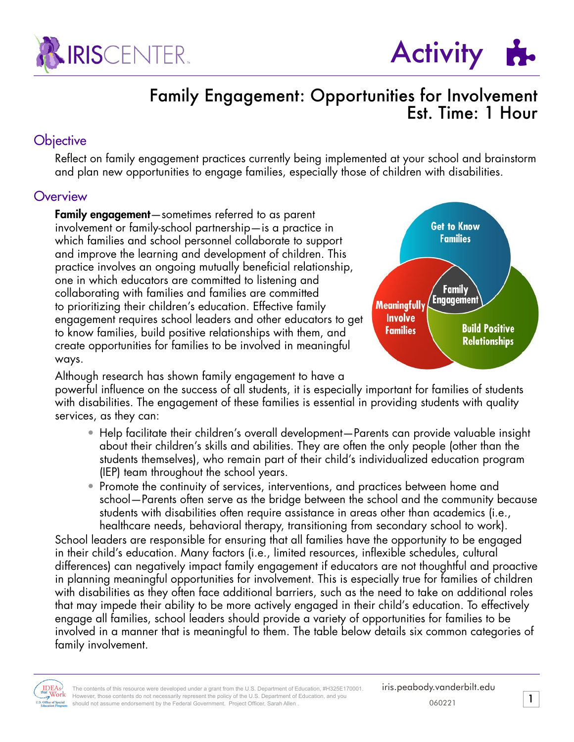



### Family Engagement: Opportunities for Involvement Est. Time: 1 Hour

### **Objective**

Reflect on family engagement practices currently being implemented at your school and brainstorm and plan new opportunities to engage families, especially those of children with disabilities.

### **Overview**

Family engagement—sometimes referred to as parent involvement or family-school partnership—is a practice in which families and school personnel collaborate to support and improve the learning and development of children. This practice involves an ongoing mutually beneficial relationship, one in which educators are committed to listening and collaborating with families and families are committed to prioritizing their children's education. Effective family engagement requires school leaders and other educators to get to know families, build positive relationships with them, and create opportunities for families to be involved in meaningful ways.



Although research has shown family engagement to have a powerful influence on the success of all students, it is especially important for families of students with disabilities. The engagement of these families is essential in providing students with quality services, as they can:

- Help facilitate their children's overall development—Parents can provide valuable insight about their children's skills and abilities. They are often the only people (other than the students themselves), who remain part of their child's individualized education program (IEP) team throughout the school years.
- Promote the continuity of services, interventions, and practices between home and school—Parents often serve as the bridge between the school and the community because students with disabilities often require assistance in areas other than academics (i.e., healthcare needs, behavioral therapy, transitioning from secondary school to work).

School leaders are responsible for ensuring that all families have the opportunity to be engaged in their child's education. Many factors (i.e., limited resources, inflexible schedules, cultural differences) can negatively impact family engagement if educators are not thoughtful and proactive in planning meaningful opportunities for involvement. This is especially true for families of children with disabilities as they often face additional barriers, such as the need to take on additional roles that may impede their ability to be more actively engaged in their child's education. To effectively engage all families, school leaders should provide a variety of opportunities for families to be involved in a manner that is meaningful to them. The table below details six common categories of family involvement.

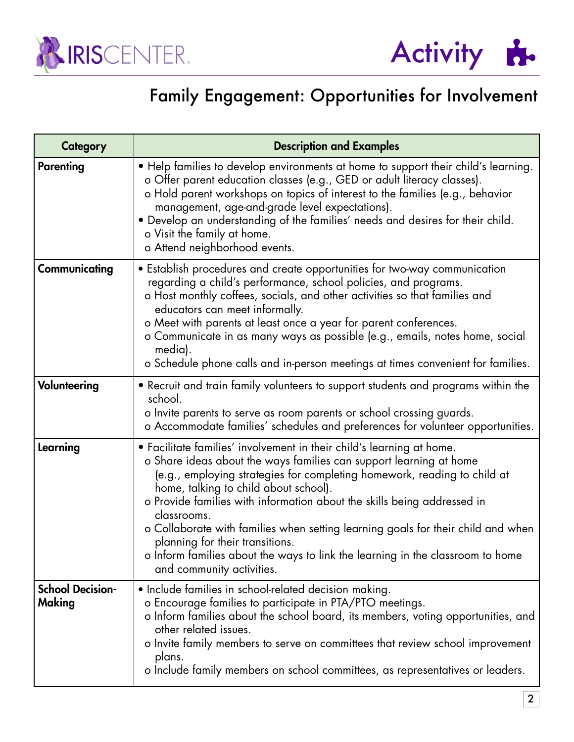



# Family Engagement: Opportunities for Involvement

| <b>Category</b>                   | <b>Description and Examples</b>                                                                                                                                                                                                                                                                                                                                                                                                                                                                                                                                                                  |  |  |  |  |
|-----------------------------------|--------------------------------------------------------------------------------------------------------------------------------------------------------------------------------------------------------------------------------------------------------------------------------------------------------------------------------------------------------------------------------------------------------------------------------------------------------------------------------------------------------------------------------------------------------------------------------------------------|--|--|--|--|
| <b>Parenting</b>                  | • Help families to develop environments at home to support their child's learning.<br>o Offer parent education classes (e.g., GED or adult literacy classes).<br>o Hold parent workshops on topics of interest to the families (e.g., behavior<br>management, age-and-grade level expectations).<br>• Develop an understanding of the families' needs and desires for their child.<br>o Visit the family at home.<br>o Attend neighborhood events.                                                                                                                                               |  |  |  |  |
| Communicating                     | • Establish procedures and create opportunities for two-way communication<br>regarding a child's performance, school policies, and programs.<br>o Host monthly coffees, socials, and other activities so that families and<br>educators can meet informally.<br>o Meet with parents at least once a year for parent conferences.<br>o Communicate in as many ways as possible (e.g., emails, notes home, social<br>media).<br>o Schedule phone calls and in-person meetings at times convenient for families.                                                                                    |  |  |  |  |
| Volunteering                      | • Recruit and train family volunteers to support students and programs within the<br>school.<br>o Invite parents to serve as room parents or school crossing guards.<br>o Accommodate families' schedules and preferences for volunteer opportunities.                                                                                                                                                                                                                                                                                                                                           |  |  |  |  |
| Learning                          | • Facilitate families' involvement in their child's learning at home.<br>o Share ideas about the ways families can support learning at home<br>(e.g., employing strategies for completing homework, reading to child at<br>home, talking to child about school).<br>o Provide families with information about the skills being addressed in<br>classrooms.<br>o Collaborate with families when setting learning goals for their child and when<br>planning for their transitions.<br>o Inform families about the ways to link the learning in the classroom to home<br>and community activities. |  |  |  |  |
| <b>School Decision-</b><br>Making | • Include families in school-related decision making.<br>o Encourage families to participate in PTA/PTO meetings.<br>o Inform families about the school board, its members, voting opportunities, and<br>other related issues.<br>o Invite family members to serve on committees that review school improvement<br>plans.<br>o Include family members on school committees, as representatives or leaders.                                                                                                                                                                                       |  |  |  |  |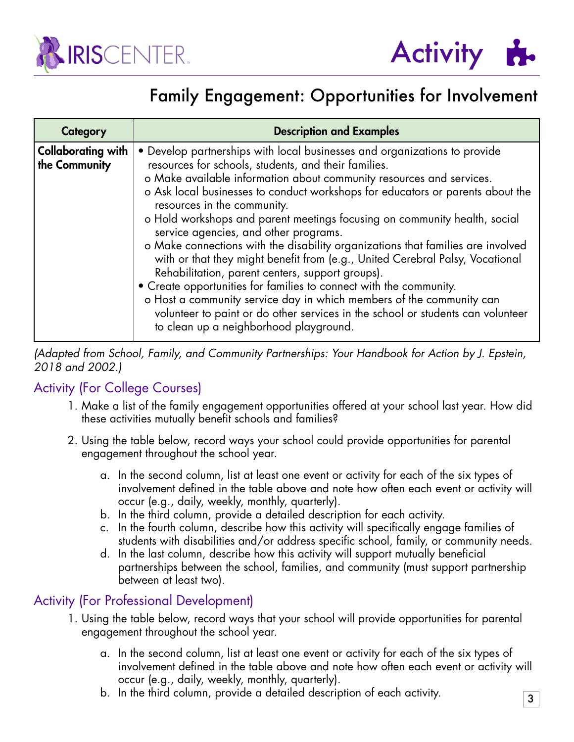



## Family Engagement: Opportunities for Involvement

| Category                                   | <b>Description and Examples</b>                                                                                                                                                                                                                                                                                                                                                                                                                                                                                                                                                                                                                                                                                                                                                                                                                                                                                                                     |  |  |  |  |
|--------------------------------------------|-----------------------------------------------------------------------------------------------------------------------------------------------------------------------------------------------------------------------------------------------------------------------------------------------------------------------------------------------------------------------------------------------------------------------------------------------------------------------------------------------------------------------------------------------------------------------------------------------------------------------------------------------------------------------------------------------------------------------------------------------------------------------------------------------------------------------------------------------------------------------------------------------------------------------------------------------------|--|--|--|--|
| <b>Collaborating with</b><br>the Community | • Develop partnerships with local businesses and organizations to provide<br>resources for schools, students, and their families.<br>o Make available information about community resources and services.<br>o Ask local businesses to conduct workshops for educators or parents about the<br>resources in the community.<br>o Hold workshops and parent meetings focusing on community health, social<br>service agencies, and other programs.<br>o Make connections with the disability organizations that families are involved<br>with or that they might benefit from (e.g., United Cerebral Palsy, Vocational<br>Rehabilitation, parent centers, support groups).<br>• Create opportunities for families to connect with the community.<br>o Host a community service day in which members of the community can<br>volunteer to paint or do other services in the school or students can volunteer<br>to clean up a neighborhood playground. |  |  |  |  |

*(Adapted from School, Family, and Community Partnerships: Your Handbook for Action by J. Epstein, 2018 and 2002.)*

### Activity (For College Courses)

- 1. Make a list of the family engagement opportunities offered at your school last year. How did these activities mutually benefit schools and families?
- 2. Using the table below, record ways your school could provide opportunities for parental engagement throughout the school year.
	- a. In the second column, list at least one event or activity for each of the six types of involvement defined in the table above and note how often each event or activity will occur (e.g., daily, weekly, monthly, quarterly).
	- b. In the third column, provide a detailed description for each activity.
	- c. In the fourth column, describe how this activity will specifically engage families of students with disabilities and/or address specific school, family, or community needs.
	- d. In the last column, describe how this activity will support mutually beneficial partnerships between the school, families, and community (must support partnership between at least two).

### Activity (For Professional Development)

- 1. Using the table below, record ways that your school will provide opportunities for parental engagement throughout the school year.
	- a. In the second column, list at least one event or activity for each of the six types of involvement defined in the table above and note how often each event or activity will occur (e.g., daily, weekly, monthly, quarterly).
	- b. In the third column, provide a detailed description of each activity.